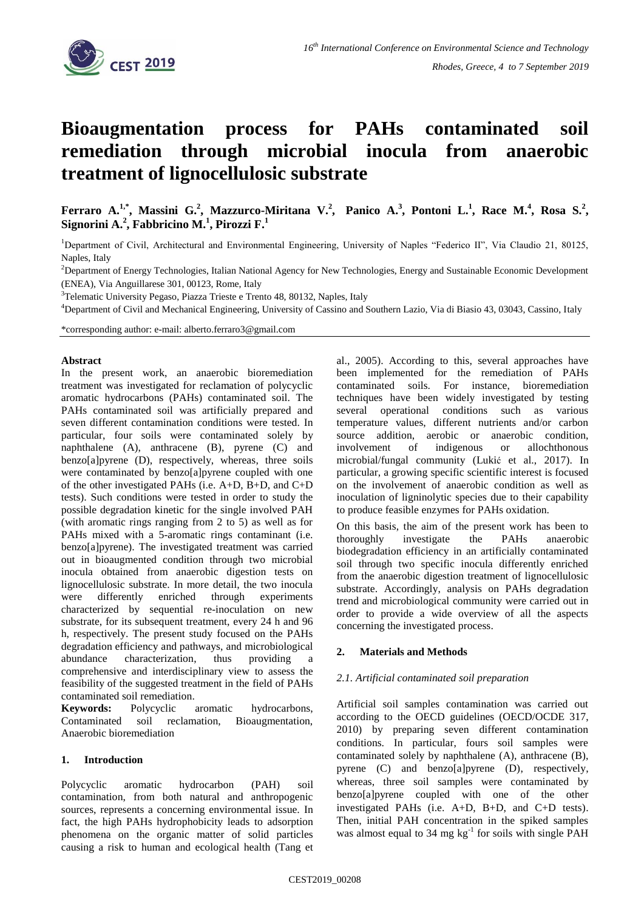

# **Bioaugmentation process for PAHs contaminated soil remediation through microbial inocula from anaerobic treatment of lignocellulosic substrate**

Ferraro A.<sup>1,\*</sup>, Massini G.<sup>2</sup>, Mazzurco-Miritana V.<sup>2</sup>, Panico A.<sup>3</sup>, Pontoni L.<sup>1</sup>, Race M.<sup>4</sup>, Rosa S.<sup>2</sup>, **Signorini A.<sup>2</sup> , Fabbricino M.<sup>1</sup> , Pirozzi F.<sup>1</sup>**

<sup>1</sup>Department of Civil, Architectural and Environmental Engineering, University of Naples "Federico II", Via Claudio 21, 80125, Naples, Italy

<sup>2</sup>Department of Energy Technologies, Italian National Agency for New Technologies, Energy and Sustainable Economic Development (ENEA), Via Anguillarese 301, 00123, Rome, Italy

<sup>3</sup>Telematic University Pegaso, Piazza Trieste e Trento 48, 80132, Naples, Italy

<sup>4</sup>Department of Civil and Mechanical Engineering, University of Cassino and Southern Lazio, Via di Biasio 43, 03043, Cassino, Italy

\*corresponding author: e-mail: alberto.ferraro3@gmail.com

#### **Abstract**

In the present work, an anaerobic bioremediation treatment was investigated for reclamation of polycyclic aromatic hydrocarbons (PAHs) contaminated soil. The PAHs contaminated soil was artificially prepared and seven different contamination conditions were tested. In particular, four soils were contaminated solely by naphthalene (A), anthracene (B), pyrene (C) and benzo[a]pyrene (D), respectively, whereas, three soils were contaminated by benzo[a]pyrene coupled with one of the other investigated PAHs (i.e. A+D, B+D, and C+D tests). Such conditions were tested in order to study the possible degradation kinetic for the single involved PAH (with aromatic rings ranging from 2 to 5) as well as for PAHs mixed with a 5-aromatic rings contaminant (i.e. benzo[a]pyrene). The investigated treatment was carried out in bioaugmented condition through two microbial inocula obtained from anaerobic digestion tests on lignocellulosic substrate. In more detail, the two inocula were differently enriched through experiments characterized by sequential re-inoculation on new substrate, for its subsequent treatment, every 24 h and 96 h, respectively. The present study focused on the PAHs degradation efficiency and pathways, and microbiological abundance characterization, thus providing a comprehensive and interdisciplinary view to assess the feasibility of the suggested treatment in the field of PAHs contaminated soil remediation.

**Keywords:** Polycyclic aromatic hydrocarbons, Contaminated soil reclamation, Bioaugmentation, Anaerobic bioremediation

#### **1. Introduction**

Polycyclic aromatic hydrocarbon (PAH) soil contamination, from both natural and anthropogenic sources, represents a concerning environmental issue. In fact, the high PAHs hydrophobicity leads to adsorption phenomena on the organic matter of solid particles causing a risk to human and ecological health (Tang et al., 2005). According to this, several approaches have been implemented for the remediation of PAHs contaminated soils. For instance, bioremediation techniques have been widely investigated by testing several operational conditions such as various temperature values, different nutrients and/or carbon source addition, aerobic or anaerobic condition, involvement of indigenous or allochthonous microbial/fungal community (Lukić et al., 2017). In particular, a growing specific scientific interest is focused on the involvement of anaerobic condition as well as inoculation of ligninolytic species due to their capability to produce feasible enzymes for PAHs oxidation.

On this basis, the aim of the present work has been to thoroughly investigate the PAHs anaerobic biodegradation efficiency in an artificially contaminated soil through two specific inocula differently enriched from the anaerobic digestion treatment of lignocellulosic substrate. Accordingly, analysis on PAHs degradation trend and microbiological community were carried out in order to provide a wide overview of all the aspects concerning the investigated process.

# **2. Materials and Methods**

## *2.1. Artificial contaminated soil preparation*

Artificial soil samples contamination was carried out according to the OECD guidelines (OECD/OCDE 317, 2010) by preparing seven different contamination conditions. In particular, fours soil samples were contaminated solely by naphthalene (A), anthracene (B), pyrene (C) and benzo[a]pyrene (D), respectively, whereas, three soil samples were contaminated by benzo[a]pyrene coupled with one of the other investigated PAHs (i.e. A+D, B+D, and C+D tests). Then, initial PAH concentration in the spiked samples was almost equal to  $34 \text{ mg kg}^{-1}$  for soils with single PAH